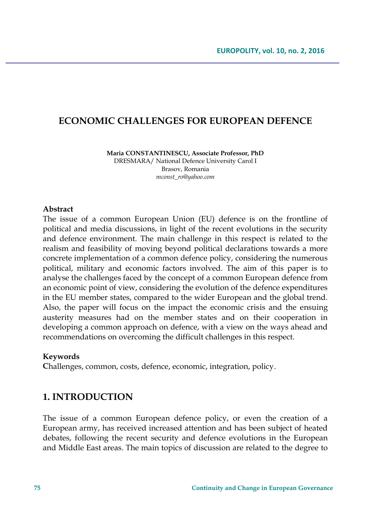## **ECONOMIC CHALLENGES FOR EUROPEAN DEFENCE**

**Maria CONSTANTINESCU, Associate Professor, PhD** 

DRESMARA/ National Defence University Carol I Brasov, Romania *mconst\_ro@yahoo.com*

#### **Abstract**

The issue of a common European Union (EU) defence is on the frontline of political and media discussions, in light of the recent evolutions in the security and defence environment. The main challenge in this respect is related to the realism and feasibility of moving beyond political declarations towards a more concrete implementation of a common defence policy, considering the numerous political, military and economic factors involved. The aim of this paper is to analyse the challenges faced by the concept of a common European defence from an economic point of view, considering the evolution of the defence expenditures in the EU member states, compared to the wider European and the global trend. Also, the paper will focus on the impact the economic crisis and the ensuing austerity measures had on the member states and on their cooperation in developing a common approach on defence, with a view on the ways ahead and recommendations on overcoming the difficult challenges in this respect.

#### **Keywords**

**C**hallenges, common, costs, defence, economic, integration, policy.

## **1. INTRODUCTION**

The issue of a common European defence policy, or even the creation of a European army, has received increased attention and has been subject of heated debates, following the recent security and defence evolutions in the European and Middle East areas. The main topics of discussion are related to the degree to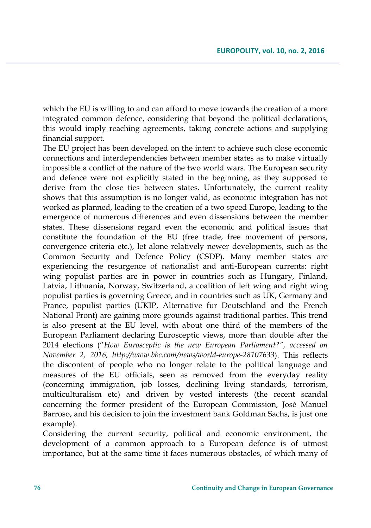which the EU is willing to and can afford to move towards the creation of a more integrated common defence, considering that beyond the political declarations, this would imply reaching agreements, taking concrete actions and supplying financial support.

The EU project has been developed on the intent to achieve such close economic connections and interdependencies between member states as to make virtually impossible a conflict of the nature of the two world wars. The European security and defence were not explicitly stated in the beginning, as they supposed to derive from the close ties between states. Unfortunately, the current reality shows that this assumption is no longer valid, as economic integration has not worked as planned, leading to the creation of a two speed Europe, leading to the emergence of numerous differences and even dissensions between the member states. These dissensions regard even the economic and political issues that constitute the foundation of the EU (free trade, free movement of persons, convergence criteria etc.), let alone relatively newer developments, such as the Common Security and Defence Policy (CSDP). Many member states are experiencing the resurgence of nationalist and anti-European currents: right wing populist parties are in power in countries such as Hungary, Finland, Latvia, Lithuania, Norway, Switzerland, a coalition of left wing and right wing populist parties is governing Greece, and in countries such as UK, Germany and France, populist parties (UKIP, Alternative fur Deutschland and the French National Front) are gaining more grounds against traditional parties. This trend is also present at the EU level, with about one third of the members of the European Parliament declaring Eurosceptic views, more than double after the 2014 elections ("*How Eurosceptic is the new European Parliament?", accessed on November 2, 2016, http://www.bbc.com/news/world-europe-28107633*). This reflects the discontent of people who no longer relate to the political language and measures of the EU officials, seen as removed from the everyday reality (concerning immigration, job losses, declining living standards, terrorism, multiculturalism etc) and driven by vested interests (the recent scandal concerning the former president of the European Commission, José Manuel Barroso, and his decision to join the investment bank Goldman Sachs, is just one example).

Considering the current security, political and economic environment, the development of a common approach to a European defence is of utmost importance, but at the same time it faces numerous obstacles, of which many of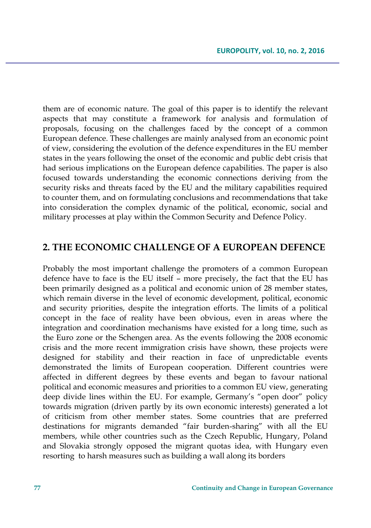them are of economic nature. The goal of this paper is to identify the relevant aspects that may constitute a framework for analysis and formulation of proposals, focusing on the challenges faced by the concept of a common European defence. These challenges are mainly analysed from an economic point of view, considering the evolution of the defence expenditures in the EU member states in the years following the onset of the economic and public debt crisis that had serious implications on the European defence capabilities. The paper is also focused towards understanding the economic connections deriving from the security risks and threats faced by the EU and the military capabilities required to counter them, and on formulating conclusions and recommendations that take into consideration the complex dynamic of the political, economic, social and military processes at play within the Common Security and Defence Policy.

### **2. THE ECONOMIC CHALLENGE OF A EUROPEAN DEFENCE**

Probably the most important challenge the promoters of a common European defence have to face is the EU itself – more precisely, the fact that the EU has been primarily designed as a political and economic union of 28 member states, which remain diverse in the level of economic development, political, economic and security priorities, despite the integration efforts. The limits of a political concept in the face of reality have been obvious, even in areas where the integration and coordination mechanisms have existed for a long time, such as the Euro zone or the Schengen area. As the events following the 2008 economic crisis and the more recent immigration crisis have shown, these projects were designed for stability and their reaction in face of unpredictable events demonstrated the limits of European cooperation. Different countries were affected in different degrees by these events and began to favour national political and economic measures and priorities to a common EU view, generating deep divide lines within the EU. For example, Germany's "open door" policy towards migration (driven partly by its own economic interests) generated a lot of criticism from other member states. Some countries that are preferred destinations for migrants demanded "fair burden-sharing" with all the EU members, while other countries such as the Czech Republic, Hungary, Poland and Slovakia strongly opposed the migrant quotas idea, with Hungary even resorting to harsh measures such as building a wall along its borders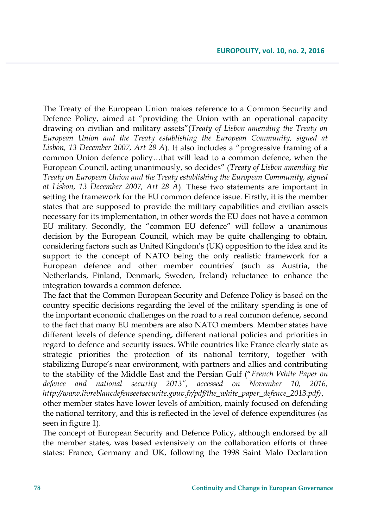The Treaty of the European Union makes reference to a Common Security and Defence Policy, aimed at "providing the Union with an operational capacity drawing on civilian and military assets"(*Treaty of Lisbon amending the Treaty on European Union and the Treaty establishing the European Community, signed at Lisbon, 13 December 2007, Art 28 A*). It also includes a "progressive framing of a common Union defence policy…that will lead to a common defence, when the European Council, acting unanimously, so decides" (*Treaty of Lisbon amending the Treaty on European Union and the Treaty establishing the European Community, signed at Lisbon, 13 December 2007, Art 28 A*). These two statements are important in setting the framework for the EU common defence issue. Firstly, it is the member states that are supposed to provide the military capabilities and civilian assets necessary for its implementation, in other words the EU does not have a common EU military. Secondly, the "common EU defence" will follow a unanimous decision by the European Council, which may be quite challenging to obtain, considering factors such as United Kingdom's (UK) opposition to the idea and its support to the concept of NATO being the only realistic framework for a European defence and other member countries' (such as Austria, the Netherlands, Finland, Denmark, Sweden, Ireland) reluctance to enhance the integration towards a common defence.

The fact that the Common European Security and Defence Policy is based on the country specific decisions regarding the level of the military spending is one of the important economic challenges on the road to a real common defence, second to the fact that many EU members are also NATO members. Member states have different levels of defence spending, different national policies and priorities in regard to defence and security issues. While countries like France clearly state as strategic priorities the protection of its national territory, together with stabilizing Europe's near environment, with partners and allies and contributing to the stability of the Middle East and the Persian Gulf ("*French White Paper on defence and national security 2013", accessed on November 10, 2016, http://www.livreblancdefenseetsecurite.gouv.fr/pdf/the\_white\_paper\_defence\_2013.pdf)*, other member states have lower levels of ambition, mainly focused on defending the national territory, and this is reflected in the level of defence expenditures (as seen in figure 1).

The concept of European Security and Defence Policy, although endorsed by all the member states, was based extensively on the collaboration efforts of three states: France, Germany and UK, following the 1998 Saint Malo Declaration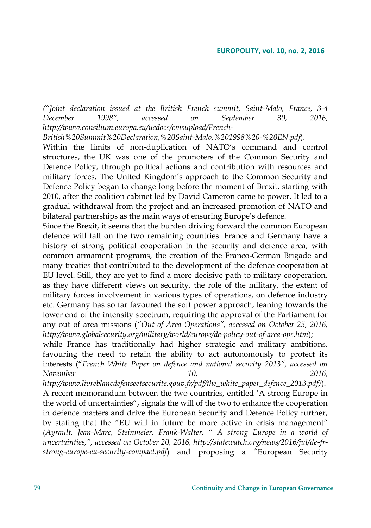*("Joint declaration issued at the British French summit, Saint-Malo, France, 3-4 December 1998", accessed on September 30, 2016, http://www.consilium.europa.eu/uedocs/cmsupload/French-*

*British%20Summit%20Declaration,%20Saint-Malo,%201998%20-%20EN.pdf*).

Within the limits of non-duplication of NATO's command and control structures, the UK was one of the promoters of the Common Security and Defence Policy, through political actions and contribution with resources and military forces. The United Kingdom's approach to the Common Security and Defence Policy began to change long before the moment of Brexit, starting with 2010, after the coalition cabinet led by David Cameron came to power. It led to a gradual withdrawal from the project and an increased promotion of NATO and bilateral partnerships as the main ways of ensuring Europe's defence.

Since the Brexit, it seems that the burden driving forward the common European defence will fall on the two remaining countries. France and Germany have a history of strong political cooperation in the security and defence area, with common armament programs, the creation of the Franco-German Brigade and many treaties that contributed to the development of the defence cooperation at EU level. Still, they are yet to find a more decisive path to military cooperation, as they have different views on security, the role of the military, the extent of military forces involvement in various types of operations, on defence industry etc. Germany has so far favoured the soft power approach, leaning towards the lower end of the intensity spectrum, requiring the approval of the Parliament for any out of area missions (*"Out of Area Operations", accessed on October 25, 2016, http://www.globalsecurity.org/military/world/europe/de-policy-out-of-area-ops.htm*);

while France has traditionally had higher strategic and military ambitions, favouring the need to retain the ability to act autonomously to protect its interests ("*French White Paper on defence and national security 2013", accessed on November 10, 2016,* 

*http://www.livreblancdefenseetsecurite.gouv.fr/pdf/the\_white\_paper\_defence\_2013.pdf)*). A recent memorandum between the two countries, entitled 'A strong Europe in

the world of uncertainties", signals the will of the two to enhance the cooperation in defence matters and drive the European Security and Defence Policy further, by stating that the "EU will in future be more active in crisis management" (*Ayrault, Jean-Marc, Steinmeier, Frank-Walter, " A strong Europe in a world of uncertainties,", accessed on October 20, 2016, http://statewatch.org/news/2016/jul/de-frstrong-europe-eu-security-compact.pdf*) and proposing a *"*European Security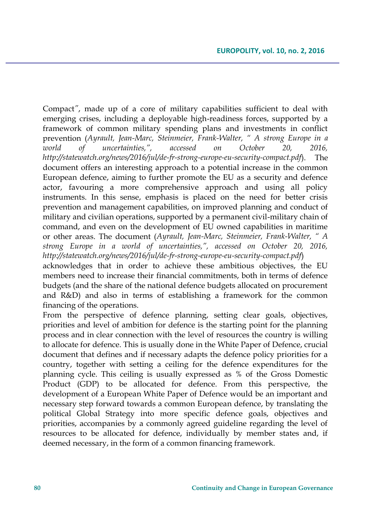Compact*"*, made up of a core of military capabilities sufficient to deal with emerging crises, including a deployable high-readiness forces, supported by a framework of common military spending plans and investments in conflict prevention (*Ayrault, Jean-Marc, Steinmeier, Frank-Walter, " A strong Europe in a world of uncertainties,", accessed on October 20, 2016, http://statewatch.org/news/2016/jul/de-fr-strong-europe-eu-security-compact.pdf*). The document offers an interesting approach to a potential increase in the common European defence, aiming to further promote the EU as a security and defence actor, favouring a more comprehensive approach and using all policy instruments. In this sense, emphasis is placed on the need for better crisis prevention and management capabilities, on improved planning and conduct of military and civilian operations, supported by a permanent civil-military chain of command, and even on the development of EU owned capabilities in maritime or other areas. The document (*Ayrault, Jean-Marc, Steinmeier, Frank-Walter, " A strong Europe in a world of uncertainties,", accessed on October 20, 2016, http://statewatch.org/news/2016/jul/de-fr-strong-europe-eu-security-compact.pdf*)

acknowledges that in order to achieve these ambitious objectives, the EU members need to increase their financial commitments, both in terms of defence budgets (and the share of the national defence budgets allocated on procurement and R&D) and also in terms of establishing a framework for the common financing of the operations.

From the perspective of defence planning, setting clear goals, objectives, priorities and level of ambition for defence is the starting point for the planning process and in clear connection with the level of resources the country is willing to allocate for defence. This is usually done in the White Paper of Defence, crucial document that defines and if necessary adapts the defence policy priorities for a country, together with setting a ceiling for the defence expenditures for the planning cycle. This ceiling is usually expressed as % of the Gross Domestic Product (GDP) to be allocated for defence. From this perspective, the development of a European White Paper of Defence would be an important and necessary step forward towards a common European defence, by translating the political Global Strategy into more specific defence goals, objectives and priorities, accompanies by a commonly agreed guideline regarding the level of resources to be allocated for defence, individually by member states and, if deemed necessary, in the form of a common financing framework.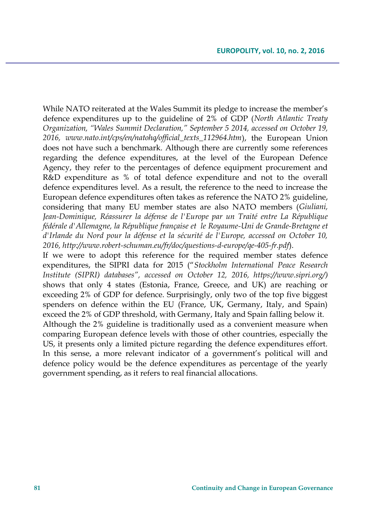While NATO reiterated at the Wales Summit its pledge to increase the member's defence expenditures up to the guideline of 2% of GDP (*North Atlantic Treaty Organization, "Wales Summit Declaration," September 5 2014, accessed on October 19, 2016, www.nato.int/cps/en/natohq/official\_texts\_112964.htm*), the European Union does not have such a benchmark. Although there are currently some references regarding the defence expenditures, at the level of the European Defence Agency, they refer to the percentages of defence equipment procurement and R&D expenditure as % of total defence expenditure and not to the overall defence expenditures level. As a result, the reference to the need to increase the European defence expenditures often takes as reference the NATO 2% guideline, considering that many EU member states are also NATO members (*Giuliani, Jean-Dominique, Réassurer la défense de l'Europe par un Traité entre La République fédérale d'Allemagne, la République française et le Royaume-Uni de Grande-Bretagne et d'Irlande du Nord pour la défense et la sécurité de l'Europe, accessed on October 10, 2016, http://www.robert-schuman.eu/fr/doc/questions-d-europe/qe-405-fr.pdf*).

If we were to adopt this reference for the required member states defence expenditures, the SIPRI data for 2015 ("*Stockholm International Peace Research Institute (SIPRI) databases", accessed on October 12, 2016, https://www.sipri.org/)* shows that only 4 states (Estonia, France, Greece, and UK) are reaching or exceeding 2% of GDP for defence. Surprisingly, only two of the top five biggest spenders on defence within the EU (France, UK, Germany, Italy, and Spain) exceed the 2% of GDP threshold, with Germany, Italy and Spain falling below it. Although the 2% guideline is traditionally used as a convenient measure when comparing European defence levels with those of other countries, especially the US, it presents only a limited picture regarding the defence expenditures effort. In this sense, a more relevant indicator of a government's political will and defence policy would be the defence expenditures as percentage of the yearly government spending, as it refers to real financial allocations.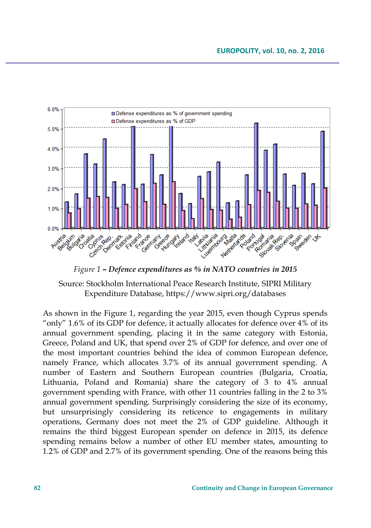

*Figure 1 – Defence expenditures as % in NATO countries in 2015*

Source: Stockholm International Peace Research Institute, SIPRI Military Expenditure Database, https://www.sipri.org/databases

As shown in the Figure 1, regarding the year 2015, even though Cyprus spends "only" 1.6% of its GDP for defence, it actually allocates for defence over 4% of its annual government spending, placing it in the same category with Estonia, Greece, Poland and UK, that spend over 2% of GDP for defence, and over one of the most important countries behind the idea of common European defence, namely France, which allocates 3.7% of its annual government spending. A number of Eastern and Southern European countries (Bulgaria, Croatia, Lithuania, Poland and Romania) share the category of 3 to 4% annual government spending with France, with other 11 countries falling in the 2 to 3% annual government spending. Surprisingly considering the size of its economy, but unsurprisingly considering its reticence to engagements in military operations, Germany does not meet the 2% of GDP guideline. Although it remains the third biggest European spender on defence in 2015, its defence spending remains below a number of other EU member states, amounting to 1.2% of GDP and 2.7% of its government spending. One of the reasons being this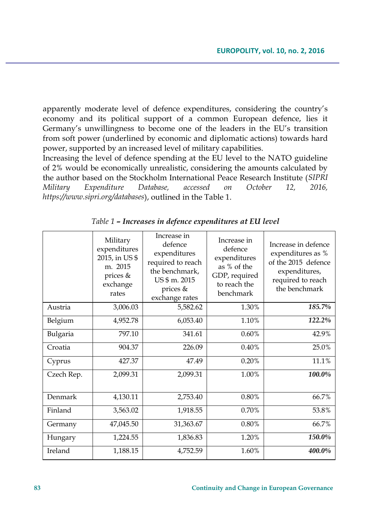apparently moderate level of defence expenditures, considering the country's economy and its political support of a common European defence, lies it Germany's unwillingness to become one of the leaders in the EU's transition from soft power (underlined by economic and diplomatic actions) towards hard power, supported by an increased level of military capabilities.

Increasing the level of defence spending at the EU level to the NATO guideline of 2% would be economically unrealistic, considering the amounts calculated by the author based on the Stockholm International Peace Research Institute (*SIPRI Military Expenditure Database, accessed on October 12, 2016, https://www.sipri.org/databases*), outlined in the Table 1.

|            | Military<br>expenditures<br>2015, in US \$<br>m. 2015<br>prices &<br>exchange<br>rates | Increase in<br>defence<br>expenditures<br>required to reach<br>the benchmark,<br>US \$ m. 2015<br>prices &<br>exchange rates | Increase in<br>defence<br>expenditures<br>as % of the<br>GDP, required<br>to reach the<br>benchmark | Increase in defence<br>expenditures as %<br>of the 2015 defence<br>expenditures,<br>required to reach<br>the benchmark |
|------------|----------------------------------------------------------------------------------------|------------------------------------------------------------------------------------------------------------------------------|-----------------------------------------------------------------------------------------------------|------------------------------------------------------------------------------------------------------------------------|
| Austria    | 3,006.03                                                                               | 5,582.62                                                                                                                     | 1.30%                                                                                               | 185.7%                                                                                                                 |
| Belgium    | 4,952.78                                                                               | 6,053.40                                                                                                                     | 1.10%                                                                                               | 122.2%                                                                                                                 |
| Bulgaria   | 797.10                                                                                 | 341.61                                                                                                                       | 0.60%                                                                                               | 42.9%                                                                                                                  |
| Croatia    | 904.37                                                                                 | 226.09                                                                                                                       | 0.40%                                                                                               | 25.0%                                                                                                                  |
| Cyprus     | 427.37                                                                                 | 47.49                                                                                                                        | 0.20%                                                                                               | 11.1%                                                                                                                  |
| Czech Rep. | 2,099.31                                                                               | 2,099.31                                                                                                                     | 1.00%                                                                                               | 100.0%                                                                                                                 |
| Denmark    | 4,130.11                                                                               | 2,753.40                                                                                                                     | 0.80%                                                                                               | 66.7%                                                                                                                  |
| Finland    | 3,563.02                                                                               | 1,918.55                                                                                                                     | 0.70%                                                                                               | 53.8%                                                                                                                  |
| Germany    | 47,045.50                                                                              | 31,363.67                                                                                                                    | 0.80%                                                                                               | 66.7%                                                                                                                  |
| Hungary    | 1,224.55                                                                               | 1,836.83                                                                                                                     | 1.20%                                                                                               | 150.0%                                                                                                                 |
| Ireland    | 1,188.15                                                                               | 4,752.59                                                                                                                     | 1.60%                                                                                               | 400.0%                                                                                                                 |

*Table 1 – Increases in defence expenditures at EU level*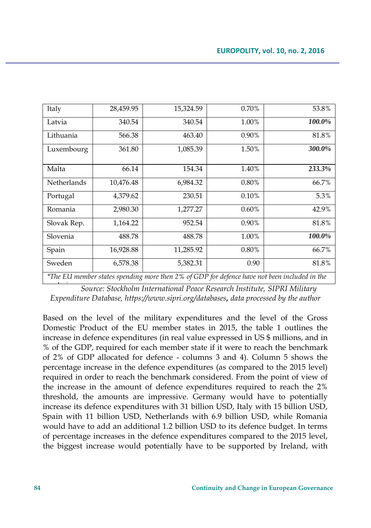| Italy                                                                                        | 28,459.95 | 15,324.59 | 0.70%    | 53.8%  |  |  |  |  |
|----------------------------------------------------------------------------------------------|-----------|-----------|----------|--------|--|--|--|--|
| Latvia                                                                                       | 340.54    | 340.54    | 1.00%    | 100.0% |  |  |  |  |
| Lithuania                                                                                    | 566.38    | 463.40    | 0.90%    | 81.8%  |  |  |  |  |
| Luxembourg                                                                                   | 361.80    | 1,085.39  | 1.50%    | 300.0% |  |  |  |  |
| Malta                                                                                        | 66.14     | 154.34    | 1.40%    | 233.3% |  |  |  |  |
| <b>Netherlands</b>                                                                           | 10,476.48 | 6,984.32  | 0.80%    | 66.7%  |  |  |  |  |
| Portugal                                                                                     | 4,379.62  | 230.51    | 0.10%    | 5.3%   |  |  |  |  |
| Romania                                                                                      | 2,980.30  | 1,277.27  | $0.60\%$ | 42.9%  |  |  |  |  |
| Slovak Rep.                                                                                  | 1,164.22  | 952.54    | 0.90%    | 81.8%  |  |  |  |  |
| Slovenia                                                                                     | 488.78    | 488.78    | 1.00%    | 100.0% |  |  |  |  |
| Spain                                                                                        | 16,928.88 | 11,285.92 | 0.80%    | 66.7%  |  |  |  |  |
| Sweden                                                                                       | 6,578.38  | 5,382.31  | 0.90     | 81.8%  |  |  |  |  |
| *The EU member states spending more then 2% of GDP for defence have not been included in the |           |           |          |        |  |  |  |  |

*analysis Source: Stockholm International Peace Research Institute, SIPRI Military Expenditure Database, https://www.sipri.org/databases, data processed by the author*

Based on the level of the military expenditures and the level of the Gross Domestic Product of the EU member states in 2015, the table 1 outlines the increase in defence expenditures (in real value expressed in US \$ millions, and in % of the GDP, required for each member state if it were to reach the benchmark of 2% of GDP allocated for defence - columns 3 and 4). Column 5 shows the percentage increase in the defence expenditures (as compared to the 2015 level) required in order to reach the benchmark considered. From the point of view of the increase in the amount of defence expenditures required to reach the 2% threshold, the amounts are impressive. Germany would have to potentially increase its defence expenditures with 31 billion USD, Italy with 15 billion USD, Spain with 11 billion USD, Netherlands with 6.9 billion USD, while Romania would have to add an additional 1.2 billion USD to its defence budget. In terms of percentage increases in the defence expenditures compared to the 2015 level, the biggest increase would potentially have to be supported by Ireland, with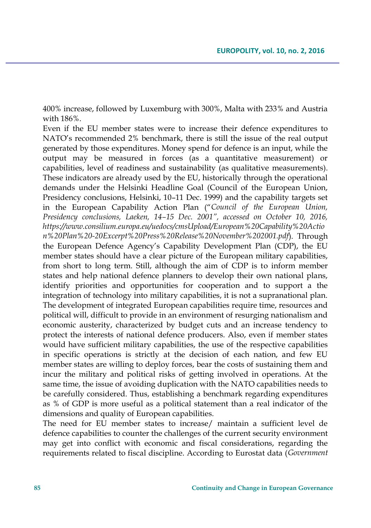400% increase, followed by Luxemburg with 300%, Malta with 233% and Austria with 186%.

Even if the EU member states were to increase their defence expenditures to NATO's recommended 2% benchmark, there is still the issue of the real output generated by those expenditures. Money spend for defence is an input, while the output may be measured in forces (as a quantitative measurement) or capabilities, level of readiness and sustainability (as qualitative measurements). These indicators are already used by the EU, historically through the operational demands under the Helsinki Headline Goal (Council of the European Union, Presidency conclusions, Helsinki, 10–11 Dec. 1999) and the capability targets set in the European Capability Action Plan ("*Council of the European Union, Presidency conclusions, Laeken, 14–15 Dec. 2001", accessed on October 10, 2016, https://www.consilium.europa.eu/uedocs/cmsUpload/European%20Capability%20Actio n%20Plan%20-20Excerpt%20Press%20Release%20November%202001.pdf*). Through the European Defence Agency's Capability Development Plan (CDP), the EU member states should have a clear picture of the European military capabilities, from short to long term. Still, although the aim of CDP is to inform member states and help national defence planners to develop their own national plans, identify priorities and opportunities for cooperation and to support a the integration of technology into military capabilities, it is not a supranational plan. The development of integrated European capabilities require time, resources and political will, difficult to provide in an environment of resurging nationalism and economic austerity, characterized by budget cuts and an increase tendency to protect the interests of national defence producers. Also, even if member states would have sufficient military capabilities, the use of the respective capabilities in specific operations is strictly at the decision of each nation, and few EU member states are willing to deploy forces, bear the costs of sustaining them and incur the military and political risks of getting involved in operations. At the same time, the issue of avoiding duplication with the NATO capabilities needs to be carefully considered. Thus, establishing a benchmark regarding expenditures as % of GDP is more useful as a political statement than a real indicator of the dimensions and quality of European capabilities.

The need for EU member states to increase/ maintain a sufficient level de defence capabilities to counter the challenges of the current security environment may get into conflict with economic and fiscal considerations, regarding the requirements related to fiscal discipline. According to Eurostat data (*Government*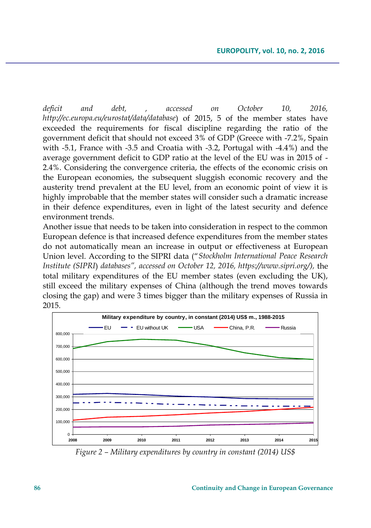*deficit and debt, , accessed on October 10, 2016, http://ec.europa.eu/eurostat/data/database*) of 2015, 5 of the member states have exceeded the requirements for fiscal discipline regarding the ratio of the government deficit that should not exceed 3% of GDP (Greece with -7.2%, Spain with -5.1, France with -3.5 and Croatia with -3.2, Portugal with -4.4%) and the average government deficit to GDP ratio at the level of the EU was in 2015 of - 2.4%. Considering the convergence criteria, the effects of the economic crisis on the European economies, the subsequent sluggish economic recovery and the austerity trend prevalent at the EU level, from an economic point of view it is highly improbable that the member states will consider such a dramatic increase in their defence expenditures, even in light of the latest security and defence environment trends.

Another issue that needs to be taken into consideration in respect to the common European defence is that increased defence expenditures from the member states do not automatically mean an increase in output or effectiveness at European Union level. According to the SIPRI data ("*Stockholm International Peace Research Institute (SIPRI*) *databases", accessed on October 12, 2016, https://www.sipri.org/),* the total military expenditures of the EU member states (even excluding the UK), still exceed the military expenses of China (although the trend moves towards closing the gap) and were 3 times bigger than the military expenses of Russia in 2015.



*Figure 2 – Military expenditures by country in constant (2014) US\$*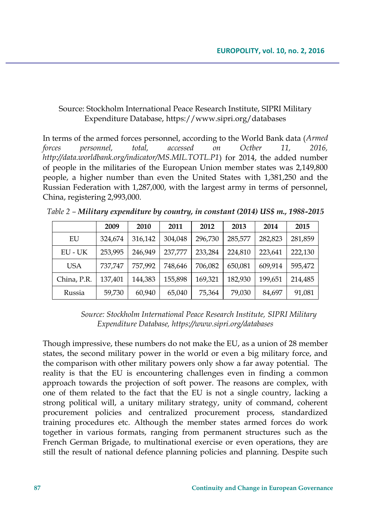### Source: Stockholm International Peace Research Institute, SIPRI Military Expenditure Database, https://www.sipri.org/databases

In terms of the armed forces personnel, according to the World Bank data (*Armed forces personnel, total, accessed on Octber 11, 2016, http://data.worldbank.org/indicator/MS.MIL.TOTL.P1*) for 2014, the added number of people in the militaries of the European Union member states was 2,149,800 people, a higher number than even the United States with 1,381,250 and the Russian Federation with 1,287,000, with the largest army in terms of personnel, China, registering 2,993,000.

|             | 2009    | 2010    | 2011    | 2012    | 2013    | 2014    | 2015    |
|-------------|---------|---------|---------|---------|---------|---------|---------|
| EU          | 324.674 | 316,142 | 304,048 | 296,730 | 285,577 | 282,823 | 281,859 |
| EU - UK     | 253,995 | 246.949 | 237.777 | 233.284 | 224.810 | 223.641 | 222.130 |
| <b>USA</b>  | 737.747 | 757.992 | 748,646 | 706.082 | 650.081 | 609.914 | 595.472 |
| China, P.R. | 137.401 | 144.383 | 155,898 | 169.321 | 182,930 | 199.651 | 214.485 |
| Russia      | 59,730  | 60,940  | 65,040  | 75,364  | 79,030  | 84,697  | 91,081  |

*Table 2 – Military expenditure by country, in constant (2014) US\$ m., 1988-2015*

*Source: Stockholm International Peace Research Institute, SIPRI Military Expenditure Database, https://www.sipri.org/databases*

Though impressive, these numbers do not make the EU, as a union of 28 member states, the second military power in the world or even a big military force, and the comparison with other military powers only show a far away potential. The reality is that the EU is encountering challenges even in finding a common approach towards the projection of soft power. The reasons are complex, with one of them related to the fact that the EU is not a single country, lacking a strong political will, a unitary military strategy, unity of command, coherent procurement policies and centralized procurement process, standardized training procedures etc. Although the member states armed forces do work together in various formats, ranging from permanent structures such as the French German Brigade, to multinational exercise or even operations, they are still the result of national defence planning policies and planning. Despite such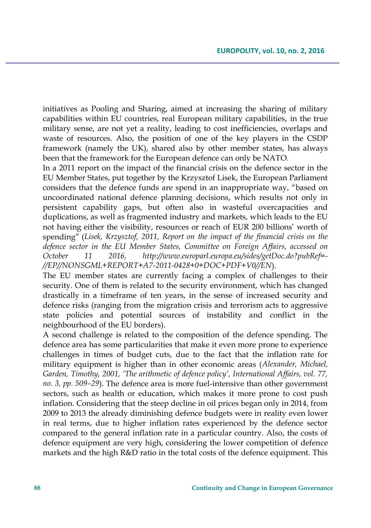initiatives as Pooling and Sharing, aimed at increasing the sharing of military capabilities within EU countries, real European military capabilities, in the true military sense, are not yet a reality, leading to cost inefficiencies, overlaps and waste of resources. Also, the position of one of the key players in the CSDP framework (namely the UK), shared also by other member states, has always been that the framework for the European defence can only be NATO.

In a 2011 report on the impact of the financial crisis on the defence sector in the EU Member States, put together by the Krzysztof Lisek, the European Parliament considers that the defence funds are spend in an inappropriate way, "based on uncoordinated national defence planning decisions, which results not only in persistent capability gaps, but often also in wasteful overcapacities and duplications, as well as fragmented industry and markets, which leads to the EU not having either the visibility, resources or reach of EUR 200 billions' worth of spending" (*Lisek, Krzysztof, 2011, Report on the impact of the financial crisis on the defence sector in the EU Member States, Committee on Foreign Affairs, accessed on October 11 2016, http://www.europarl.europa.eu/sides/getDoc.do?pubRef=- //EP//NONSGML+REPORT+A7-2011-0428+0+DOC+PDF+V0//EN*).

The EU member states are currently facing a complex of challenges to their security. One of them is related to the security environment, which has changed drastically in a timeframe of ten years, in the sense of increased security and defence risks (ranging from the migration crisis and terrorism acts to aggressive state policies and potential sources of instability and conflict in the neighbourhood of the EU borders).

A second challenge is related to the composition of the defence spending. The defence area has some particularities that make it even more prone to experience challenges in times of budget cuts, due to the fact that the inflation rate for military equipment is higher than in other economic areas (*Alexander, Michael, Garden, Timothy, 2001, 'The arithmetic of defence policy', International Affairs, vol. 77, no. 3, pp. 509–29*). The defence area is more fuel-intensive than other government sectors, such as health or education, which makes it more prone to cost push inflation. Considering that the steep decline in oil prices began only in 2014, from 2009 to 2013 the already diminishing defence budgets were in reality even lower in real terms, due to higher inflation rates experienced by the defence sector compared to the general inflation rate in a particular country. Also, the costs of defence equipment are very high, considering the lower competition of defence markets and the high R&D ratio in the total costs of the defence equipment. This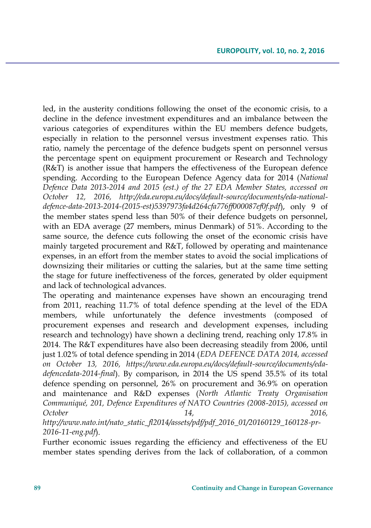led, in the austerity conditions following the onset of the economic crisis, to a decline in the defence investment expenditures and an imbalance between the various categories of expenditures within the EU members defence budgets, especially in relation to the personnel versus investment expenses ratio. This ratio, namely the percentage of the defence budgets spent on personnel versus the percentage spent on equipment procurement or Research and Technology (R&T) is another issue that hampers the effectiveness of the European defence spending. According to the European Defence Agency data for 2014 (*National Defence Data 2013-2014 and 2015 (est.) of the 27 EDA Member States, accessed on October 12, 2016, http://eda.europa.eu/docs/default-source/documents/eda-nationaldefence-data-2013-2014-(2015-est)5397973fa4d264cfa776ff000087ef0f.pdf*), only 9 of the member states spend less than 50% of their defence budgets on personnel, with an EDA average (27 members, minus Denmark) of 51%. According to the same source, the defence cuts following the onset of the economic crisis have mainly targeted procurement and R&T, followed by operating and maintenance expenses, in an effort from the member states to avoid the social implications of downsizing their militaries or cutting the salaries, but at the same time setting the stage for future ineffectiveness of the forces, generated by older equipment and lack of technological advances.

The operating and maintenance expenses have shown an encouraging trend from 2011, reaching 11.7% of total defence spending at the level of the EDA members, while unfortunately the defence investments (composed of procurement expenses and research and development expenses, including research and technology) have shown a declining trend, reaching only 17.8% in 2014. The R&T expenditures have also been decreasing steadily from 2006, until just 1.02% of total defence spending in 2014 (*EDA DEFENCE DATA 2014, accessed on October 13, 2016, https://www.eda.europa.eu/docs/default-source/documents/edadefencedata-2014-final*). By comparison, in 2014 the US spend 35.5% of its total defence spending on personnel, 26% on procurement and 36.9% on operation and maintenance and R&D expenses (*North Atlantic Treaty Organisation Communiqué, 201, Defence Expenditures of NATO Countries (2008-2015), accessed on October 14, 2016, http://www.nato.int/nato\_static\_fl2014/assets/pdf/pdf\_2016\_01/20160129\_160128-pr-2016-11-eng.pdf*).

Further economic issues regarding the efficiency and effectiveness of the EU member states spending derives from the lack of collaboration, of a common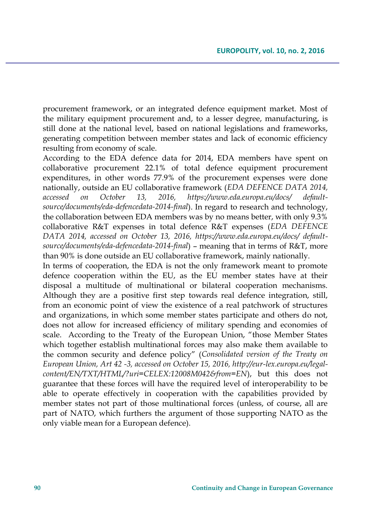procurement framework, or an integrated defence equipment market. Most of the military equipment procurement and, to a lesser degree, manufacturing, is still done at the national level, based on national legislations and frameworks, generating competition between member states and lack of economic efficiency resulting from economy of scale.

According to the EDA defence data for 2014, EDA members have spent on collaborative procurement 22.1% of total defence equipment procurement expenditures, in other words 77.9% of the procurement expenses were done nationally, outside an EU collaborative framework (*EDA DEFENCE DATA 2014, accessed on October 13, 2016, https://www.eda.europa.eu/docs/ defaultsource/documents/eda-defencedata-2014-final*). In regard to research and technology, the collaboration between EDA members was by no means better, with only 9.3% collaborative R&T expenses in total defence R&T expenses (*EDA DEFENCE DATA 2014, accessed on October 13, 2016, https://www.eda.europa.eu/docs/ defaultsource/documents/eda-defencedata-2014-final*) – meaning that in terms of R&T, more than 90% is done outside an EU collaborative framework, mainly nationally.

In terms of cooperation, the EDA is not the only framework meant to promote defence cooperation within the EU, as the EU member states have at their disposal a multitude of multinational or bilateral cooperation mechanisms. Although they are a positive first step towards real defence integration, still, from an economic point of view the existence of a real patchwork of structures and organizations, in which some member states participate and others do not, does not allow for increased efficiency of military spending and economies of scale. According to the Treaty of the European Union, "those Member States which together establish multinational forces may also make them available to the common security and defence policy" (*Consolidated version of the Treaty on European Union, Art 42 -3, accessed on October 15, 2016, http://eur-lex.europa.eu/legalcontent/EN/TXT/HTML/?uri=CELEX:12008M042&from=EN*), but this does not guarantee that these forces will have the required level of interoperability to be able to operate effectively in cooperation with the capabilities provided by member states not part of those multinational forces (unless, of course, all are part of NATO, which furthers the argument of those supporting NATO as the only viable mean for a European defence).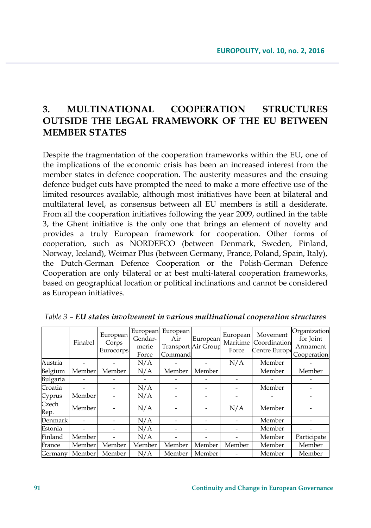# **3. MULTINATIONAL COOPERATION STRUCTURES OUTSIDE THE LEGAL FRAMEWORK OF THE EU BETWEEN MEMBER STATES**

Despite the fragmentation of the cooperation frameworks within the EU, one of the implications of the economic crisis has been an increased interest from the member states in defence cooperation. The austerity measures and the ensuing defence budget cuts have prompted the need to make a more effective use of the limited resources available, although most initiatives have been at bilateral and multilateral level, as consensus between all EU members is still a desiderate. From all the cooperation initiatives following the year 2009, outlined in the table 3, the Ghent initiative is the only one that brings an element of novelty and provides a truly European framework for cooperation. Other forms of cooperation, such as NORDEFCO (between Denmark, Sweden, Finland, Norway, Iceland), Weimar Plus (between Germany, France, Poland, Spain, Italy), the Dutch-German Defence Cooperation or the Polish-German Defence Cooperation are only bilateral or at best multi-lateral cooperation frameworks, based on geographical location or political inclinations and cannot be considered as European initiatives.

|               | Finabel | European<br>Corps<br>Eurocorps | European<br>Gendar-<br>merie<br>Force | European<br>Air<br><b>Transport Air Group</b><br>Command | European | European<br>Maritime<br>Force | Movement<br>Coordination<br>Centre Europe | Organization<br>for Joint<br>Armament<br>Cooperation |
|---------------|---------|--------------------------------|---------------------------------------|----------------------------------------------------------|----------|-------------------------------|-------------------------------------------|------------------------------------------------------|
| Austria       |         |                                | N/A                                   |                                                          |          | N/A                           | Member                                    |                                                      |
| Belgium       | Member  | Member                         | N/A                                   | Member                                                   | Member   |                               | Member                                    | Member                                               |
| Bulgaria      |         |                                |                                       |                                                          |          |                               |                                           |                                                      |
| Croatia       |         |                                | N/A                                   |                                                          |          |                               | Member                                    |                                                      |
| Cyprus        | Member  |                                | N/A                                   |                                                          |          |                               |                                           |                                                      |
| Czech<br>Rep. | Member  |                                | N/A                                   |                                                          |          | N/A                           | Member                                    |                                                      |
| Denmark       |         |                                | N/A                                   |                                                          |          |                               | Member                                    |                                                      |
| Estonia       |         |                                | N/A                                   |                                                          |          |                               | Member                                    |                                                      |
| Finland       | Member  |                                | N/A                                   |                                                          |          |                               | Member                                    | Participate                                          |
| France        | Member  | Member                         | Member                                | Member                                                   | Member   | Member                        | Member                                    | Member                                               |
| Germany       | Member  | Member                         | N/A                                   | Member                                                   | Member   |                               | Member                                    | Member                                               |

*Table 3 – EU states involvement in various multinational cooperation structures*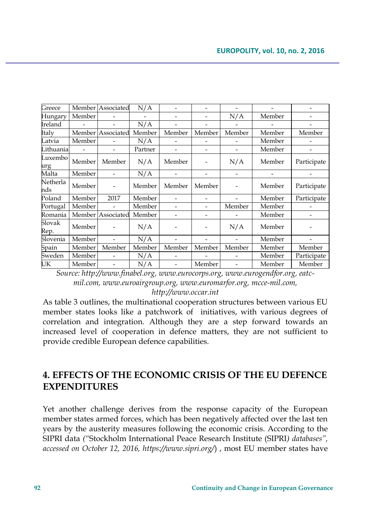| Greece          |        | Member Associated | N/A     |        |        |        |        |             |
|-----------------|--------|-------------------|---------|--------|--------|--------|--------|-------------|
| Hungary         | Member |                   |         |        |        | N/A    | Member |             |
| Ireland         |        |                   | N/A     |        |        |        |        |             |
| Italy           | Member | Associated        | Member  | Member | Member | Member | Member | Member      |
| Latvia          | Member |                   | N/A     |        |        |        | Member |             |
| Lithuania       |        |                   | Partner |        |        |        | Member |             |
| Luxembo<br>urg  | Member | Member            | N/A     | Member |        | N/A    | Member | Participate |
| Malta           | Member |                   | N/A     |        |        |        |        |             |
| Netherla<br>nds | Member |                   | Member  | Member | Member |        | Member | Participate |
| Poland          | Member | 2017              | Member  |        |        |        | Member | Participate |
| Portugal        | Member |                   | Member  |        |        | Member | Member |             |
| Romania         | Member | Associated        | Member  |        |        |        | Member |             |
| Slovak<br>Rep.  | Member |                   | N/A     |        |        | N/A    | Member |             |
| Slovenia        | Member |                   | N/A     |        |        |        | Member |             |
| Spain           | Member | Member            | Member  | Member | Member | Member | Member | Member      |
| Sweden          | Member |                   | N/A     |        |        |        | Member | Participate |
| UK              | Member |                   | N/A     |        | Member |        | Member | Member      |

*Source: http://www.finabel.org, www.eurocorps.org, www.eurogendfor.org, eatcmil.com, www.euroairgroup.org, www.euromarfor.org, mcce-mil.com, http://www.occar.int* 

As table 3 outlines, the multinational cooperation structures between various EU member states looks like a patchwork of initiatives, with various degrees of correlation and integration. Although they are a step forward towards an increased level of cooperation in defence matters, they are not sufficient to provide credible European defence capabilities.

# **4. EFFECTS OF THE ECONOMIC CRISIS OF THE EU DEFENCE EXPENDITURES**

Yet another challenge derives from the response capacity of the European member states armed forces, which has been negatively affected over the last ten years by the austerity measures following the economic crisis. According to the SIPRI data *("*Stockholm International Peace Research Institute (SIPRI*) databases", accessed on October 12, 2016, https://www.sipri.org/*) , most EU member states have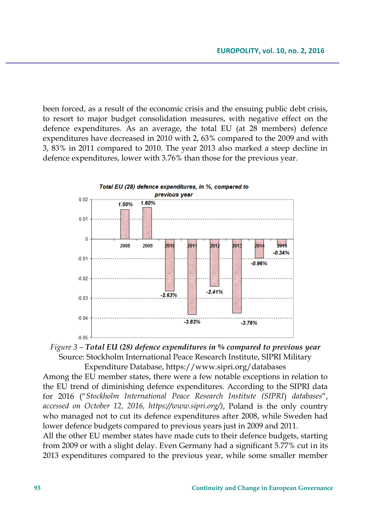been forced, as a result of the economic crisis and the ensuing public debt crisis, to resort to major budget consolidation measures, with negative effect on the defence expenditures. As an average, the total EU (at 28 members) defence expenditures have decreased in 2010 with 2, 63% compared to the 2009 and with 3, 83% in 2011 compared to 2010. The year 2013 also marked a steep decline in defence expenditures, lower with 3.76% than those for the previous year.





Among the EU member states, there were a few notable exceptions in relation to the EU trend of diminishing defence expenditures. According to the SIPRI data for 2016 ("*Stockholm International Peace Research Institute (SIPRI*) *databases*", *accessed on October 12, 2016, https://www.sipri.org/)*, Poland is the only country who managed not to cut its defence expenditures after 2008, while Sweden had lower defence budgets compared to previous years just in 2009 and 2011.

All the other EU member states have made cuts to their defence budgets, starting from 2009 or with a slight delay. Even Germany had a significant 5.77% cut in its 2013 expenditures compared to the previous year, while some smaller member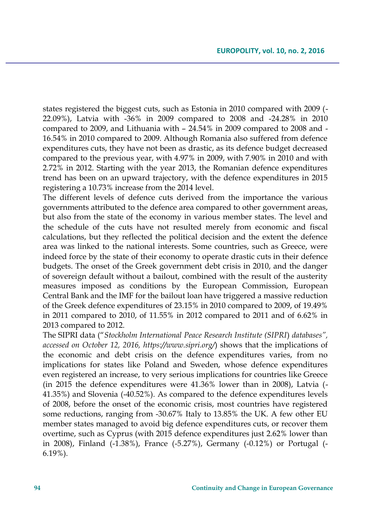states registered the biggest cuts, such as Estonia in 2010 compared with 2009 (- 22.09%), Latvia with -36% in 2009 compared to 2008 and -24.28% in 2010 compared to 2009, and Lithuania with – 24.54% in 2009 compared to 2008 and - 16.54% in 2010 compared to 2009. Although Romania also suffered from defence expenditures cuts, they have not been as drastic, as its defence budget decreased compared to the previous year, with 4.97% in 2009, with 7.90% in 2010 and with 2.72% in 2012. Starting with the year 2013, the Romanian defence expenditures trend has been on an upward trajectory, with the defence expenditures in 2015 registering a 10.73% increase from the 2014 level.

The different levels of defence cuts derived from the importance the various governments attributed to the defence area compared to other government areas, but also from the state of the economy in various member states. The level and the schedule of the cuts have not resulted merely from economic and fiscal calculations, but they reflected the political decision and the extent the defence area was linked to the national interests. Some countries, such as Greece, were indeed force by the state of their economy to operate drastic cuts in their defence budgets. The onset of the Greek government debt crisis in 2010, and the danger of sovereign default without a bailout, combined with the result of the austerity measures imposed as conditions by the European Commission, European Central Bank and the IMF for the bailout loan have triggered a massive reduction of the Greek defence expenditures of 23.15% in 2010 compared to 2009, of 19.49% in 2011 compared to 2010, of 11.55% in 2012 compared to 2011 and of 6.62% in 2013 compared to 2012.

The SIPRI data ("*Stockholm International Peace Research Institute (SIPRI*) *databases", accessed on October 12, 2016, https://www.sipri.org/*) shows that the implications of the economic and debt crisis on the defence expenditures varies, from no implications for states like Poland and Sweden, whose defence expenditures even registered an increase, to very serious implications for countries like Greece (in 2015 the defence expenditures were 41.36% lower than in 2008), Latvia (- 41.35%) and Slovenia (-40.52%). As compared to the defence expenditures levels of 2008, before the onset of the economic crisis, most countries have registered some reductions, ranging from -30.67% Italy to 13.85% the UK. A few other EU member states managed to avoid big defence expenditures cuts, or recover them overtime, such as Cyprus (with 2015 defence expenditures just 2.62% lower than in 2008), Finland (-1.38%), France (-5.27%), Germany (-0.12%) or Portugal (- 6.19%).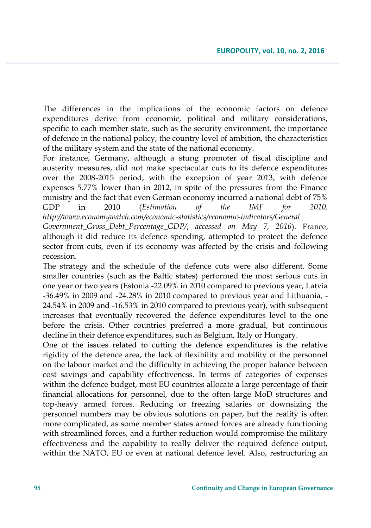The differences in the implications of the economic factors on defence expenditures derive from economic, political and military considerations, specific to each member state, such as the security environment, the importance of defence in the national policy, the country level of ambition, the characteristics of the military system and the state of the national economy.

For instance, Germany, although a stung promoter of fiscal discipline and austerity measures, did not make spectacular cuts to its defence expenditures over the 2008-2015 period, with the exception of year 2013, with defence expenses 5.77% lower than in 2012, in spite of the pressures from the Finance ministry and the fact that even German economy incurred a national debt of 75% GDP in 2010 (*Estimation of the IMF for 2010. http://www.economywatch.com/economic-statistics/economic-indicators/General\_* 

*Government\_Gross\_Debt\_Percentage\_GDP/*, *accessed on May 7, 2016*). France, although it did reduce its defence spending, attempted to protect the defence sector from cuts, even if its economy was affected by the crisis and following recession.

The strategy and the schedule of the defence cuts were also different. Some smaller countries (such as the Baltic states) performed the most serious cuts in one year or two years (Estonia -22.09% in 2010 compared to previous year, Latvia -36.49% in 2009 and -24.28% in 2010 compared to previous year and Lithuania, - 24.54% in 2009 and -16.53% in 2010 compared to previous year), with subsequent increases that eventually recovered the defence expenditures level to the one before the crisis. Other countries preferred a more gradual, but continuous decline in their defence expenditures, such as Belgium, Italy or Hungary.

One of the issues related to cutting the defence expenditures is the relative rigidity of the defence area, the lack of flexibility and mobility of the personnel on the labour market and the difficulty in achieving the proper balance between cost savings and capability effectiveness. In terms of categories of expenses within the defence budget, most EU countries allocate a large percentage of their financial allocations for personnel, due to the often large MoD structures and top-heavy armed forces. Reducing or freezing salaries or downsizing the personnel numbers may be obvious solutions on paper, but the reality is often more complicated, as some member states armed forces are already functioning with streamlined forces, and a further reduction would compromise the military effectiveness and the capability to really deliver the required defence output, within the NATO, EU or even at national defence level. Also, restructuring an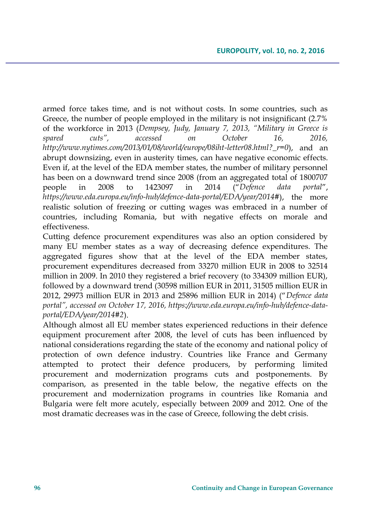armed force takes time, and is not without costs. In some countries, such as Greece, the number of people employed in the military is not insignificant (2.7% of the workforce in 2013 (*Dempsey, Judy, January 7, 2013, "Military in Greece is spared cuts", accessed on October 16, 2016, http://www.nytimes.com/2013/01/08/world/europe/08iht-letter08.html?\_r=0*), and an abrupt downsizing, even in austerity times, can have negative economic effects. Even if, at the level of the EDA member states, the number of military personnel has been on a downward trend since 2008 (from an aggregated total of 1800707 people in 2008 to 1423097 in 2014 ("*Defence data portal*", *https://www.eda.europa.eu/info-hub/defence-data-portal/EDA/year/2014#*), the more realistic solution of freezing or cutting wages was embraced in a number of countries, including Romania, but with negative effects on morale and effectiveness.

Cutting defence procurement expenditures was also an option considered by many EU member states as a way of decreasing defence expenditures. The aggregated figures show that at the level of the EDA member states, procurement expenditures decreased from 33270 million EUR in 2008 to 32514 million in 2009. In 2010 they registered a brief recovery (to 334309 million EUR), followed by a downward trend (30598 million EUR in 2011, 31505 million EUR in 2012, 29973 million EUR in 2013 and 25896 million EUR in 2014) ("*Defence data portal", accessed on October 17, 2016, https://www.eda.europa.eu/info-hub/defence-dataportal/EDA/year/2014#2*).

Although almost all EU member states experienced reductions in their defence equipment procurement after 2008, the level of cuts has been influenced by national considerations regarding the state of the economy and national policy of protection of own defence industry. Countries like France and Germany attempted to protect their defence producers, by performing limited procurement and modernization programs cuts and postponements. By comparison, as presented in the table below, the negative effects on the procurement and modernization programs in countries like Romania and Bulgaria were felt more acutely, especially between 2009 and 2012. One of the most dramatic decreases was in the case of Greece, following the debt crisis.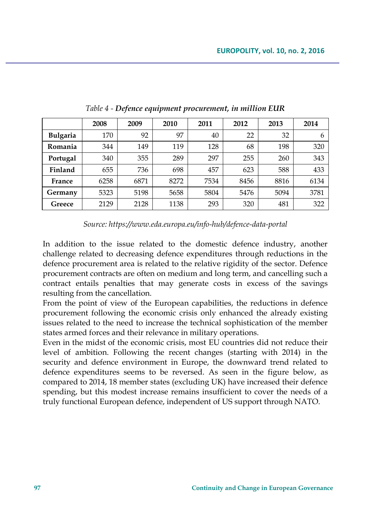|                 | 2008 | 2009 | 2010 | 2011 | 2012 | 2013 | 2014 |
|-----------------|------|------|------|------|------|------|------|
| <b>Bulgaria</b> | 170  | 92   | 97   | 40   | 22   | 32   | 6    |
| Romania         | 344  | 149  | 119  | 128  | 68   | 198  | 320  |
| Portugal        | 340  | 355  | 289  | 297  | 255  | 260  | 343  |
| Finland         | 655  | 736  | 698  | 457  | 623  | 588  | 433  |
| France          | 6258 | 6871 | 8272 | 7534 | 8456 | 8816 | 6134 |
| Germany         | 5323 | 5198 | 5658 | 5804 | 5476 | 5094 | 3781 |
| Greece          | 2129 | 2128 | 1138 | 293  | 320  | 481  | 322  |

*Table 4 - Defence equipment procurement, in million EUR*

*Source: https://www.eda.europa.eu/info-hub/defence-data-portal*

In addition to the issue related to the domestic defence industry, another challenge related to decreasing defence expenditures through reductions in the defence procurement area is related to the relative rigidity of the sector. Defence procurement contracts are often on medium and long term, and cancelling such a contract entails penalties that may generate costs in excess of the savings resulting from the cancellation.

From the point of view of the European capabilities, the reductions in defence procurement following the economic crisis only enhanced the already existing issues related to the need to increase the technical sophistication of the member states armed forces and their relevance in military operations.

Even in the midst of the economic crisis, most EU countries did not reduce their level of ambition. Following the recent changes (starting with 2014) in the security and defence environment in Europe, the downward trend related to defence expenditures seems to be reversed. As seen in the figure below, as compared to 2014, 18 member states (excluding UK) have increased their defence spending, but this modest increase remains insufficient to cover the needs of a truly functional European defence, independent of US support through NATO.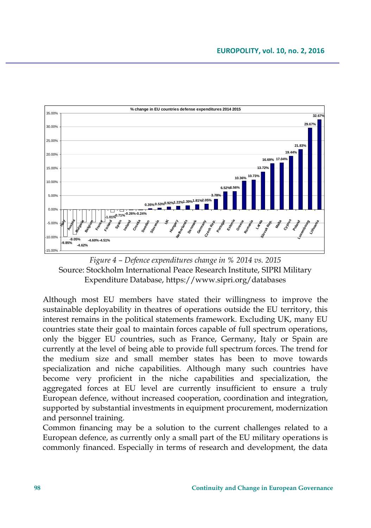

*Figure 4 – Defence expenditures change in % 2014 vs. 2015* Source: Stockholm International Peace Research Institute, SIPRI Military Expenditure Database, https://www.sipri.org/databases

Although most EU members have stated their willingness to improve the sustainable deployability in theatres of operations outside the EU territory, this interest remains in the political statements framework. Excluding UK, many EU countries state their goal to maintain forces capable of full spectrum operations, only the bigger EU countries, such as France, Germany, Italy or Spain are currently at the level of being able to provide full spectrum forces. The trend for the medium size and small member states has been to move towards specialization and niche capabilities. Although many such countries have become very proficient in the niche capabilities and specialization, the aggregated forces at EU level are currently insufficient to ensure a truly European defence, without increased cooperation, coordination and integration, supported by substantial investments in equipment procurement, modernization and personnel training.

Common financing may be a solution to the current challenges related to a European defence, as currently only a small part of the EU military operations is commonly financed. Especially in terms of research and development, the data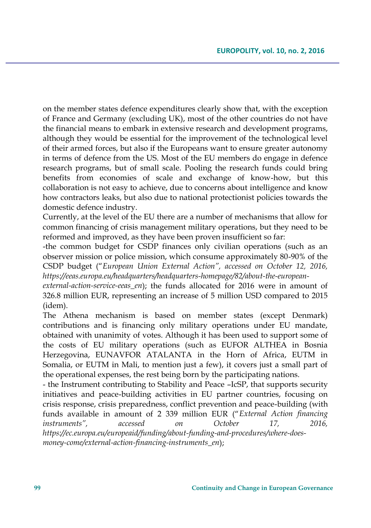on the member states defence expenditures clearly show that, with the exception of France and Germany (excluding UK), most of the other countries do not have the financial means to embark in extensive research and development programs, although they would be essential for the improvement of the technological level of their armed forces, but also if the Europeans want to ensure greater autonomy in terms of defence from the US. Most of the EU members do engage in defence research programs, but of small scale. Pooling the research funds could bring benefits from economies of scale and exchange of know-how, but this collaboration is not easy to achieve, due to concerns about intelligence and know how contractors leaks, but also due to national protectionist policies towards the domestic defence industry.

Currently, at the level of the EU there are a number of mechanisms that allow for common financing of crisis management military operations, but they need to be reformed and improved, as they have been proven insufficient so far:

-the common budget for CSDP finances only civilian operations (such as an observer mission or police mission, which consume approximately 80-90% of the CSDP budget ("*European Union External Action", accessed on October 12, 2016, https://eeas.europa.eu/headquarters/headquarters-homepage/82/about-the-european-*

*external-action-service-eeas\_en*); the funds allocated for 2016 were in amount of 326.8 million EUR, representing an increase of 5 million USD compared to 2015 (idem).

The Athena mechanism is based on member states (except Denmark) contributions and is financing only military operations under EU mandate, obtained with unanimity of votes. Although it has been used to support some of the costs of EU military operations (such as EUFOR ALTHEA in Bosnia Herzegovina, EUNAVFOR ATALANTA in the Horn of Africa, EUTM in Somalia, or EUTM in Mali, to mention just a few), it covers just a small part of the operational expenses, the rest being born by the participating nations.

- the Instrument contributing to Stability and Peace –IcSP, that supports security initiatives and peace-building activities in EU partner countries, focusing on crisis response, crisis preparedness, conflict prevention and peace-building (with funds available in amount of 2 339 million EUR ("*External Action financing instruments", accessed on October 17, 2016, https://ec.europa.eu/europeaid/funding/about-funding-and-procedures/where-doesmoney-come/external-action-financing-instruments\_en*);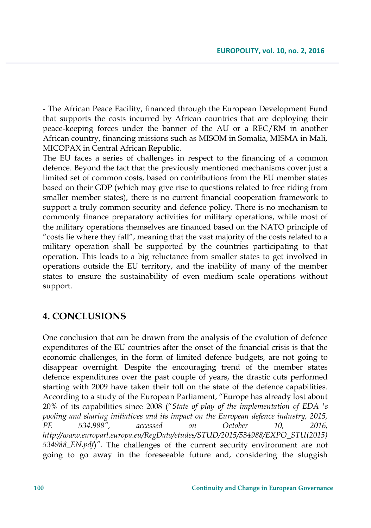- The African Peace Facility, financed through the European Development Fund that supports the costs incurred by African countries that are deploying their peace-keeping forces under the banner of the AU or a REC/RM in another African country, financing missions such as MISOM in Somalia, MISMA in Mali, MICOPAX in Central African Republic.

The EU faces a series of challenges in respect to the financing of a common defence. Beyond the fact that the previously mentioned mechanisms cover just a limited set of common costs, based on contributions from the EU member states based on their GDP (which may give rise to questions related to free riding from smaller member states), there is no current financial cooperation framework to support a truly common security and defence policy. There is no mechanism to commonly finance preparatory activities for military operations, while most of the military operations themselves are financed based on the NATO principle of "costs lie where they fall", meaning that the vast majority of the costs related to a military operation shall be supported by the countries participating to that operation. This leads to a big reluctance from smaller states to get involved in operations outside the EU territory, and the inability of many of the member states to ensure the sustainability of even medium scale operations without support.

# **4. CONCLUSIONS**

One conclusion that can be drawn from the analysis of the evolution of defence expenditures of the EU countries after the onset of the financial crisis is that the economic challenges, in the form of limited defence budgets, are not going to disappear overnight. Despite the encouraging trend of the member states defence expenditures over the past couple of years, the drastic cuts performed starting with 2009 have taken their toll on the state of the defence capabilities. According to a study of the European Parliament, "Europe has already lost about 20% of its capabilities since 2008 ("*State of play of the implementation of EDA 's pooling and sharing initiatives and its impact on the European defence industry, 2015, PE 534.988", accessed on October 10, 2016, http://www.europarl.europa.eu/RegData/etudes/STUD/2015/534988/EXPO\_STU(2015) 534988\_EN.pdf*)*".* The challenges of the current security environment are not going to go away in the foreseeable future and, considering the sluggish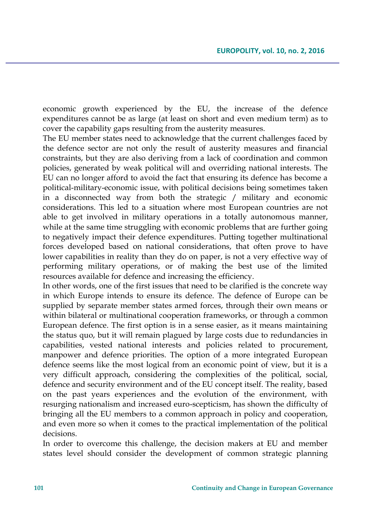economic growth experienced by the EU, the increase of the defence expenditures cannot be as large (at least on short and even medium term) as to cover the capability gaps resulting from the austerity measures.

The EU member states need to acknowledge that the current challenges faced by the defence sector are not only the result of austerity measures and financial constraints, but they are also deriving from a lack of coordination and common policies, generated by weak political will and overriding national interests. The EU can no longer afford to avoid the fact that ensuring its defence has become a political-military-economic issue, with political decisions being sometimes taken in a disconnected way from both the strategic / military and economic considerations. This led to a situation where most European countries are not able to get involved in military operations in a totally autonomous manner, while at the same time struggling with economic problems that are further going to negatively impact their defence expenditures. Putting together multinational forces developed based on national considerations, that often prove to have lower capabilities in reality than they do on paper, is not a very effective way of performing military operations, or of making the best use of the limited resources available for defence and increasing the efficiency.

In other words, one of the first issues that need to be clarified is the concrete way in which Europe intends to ensure its defence. The defence of Europe can be supplied by separate member states armed forces, through their own means or within bilateral or multinational cooperation frameworks, or through a common European defence. The first option is in a sense easier, as it means maintaining the status quo, but it will remain plagued by large costs due to redundancies in capabilities, vested national interests and policies related to procurement, manpower and defence priorities. The option of a more integrated European defence seems like the most logical from an economic point of view, but it is a very difficult approach, considering the complexities of the political, social, defence and security environment and of the EU concept itself. The reality, based on the past years experiences and the evolution of the environment, with resurging nationalism and increased euro-scepticism, has shown the difficulty of bringing all the EU members to a common approach in policy and cooperation, and even more so when it comes to the practical implementation of the political decisions.

In order to overcome this challenge, the decision makers at EU and member states level should consider the development of common strategic planning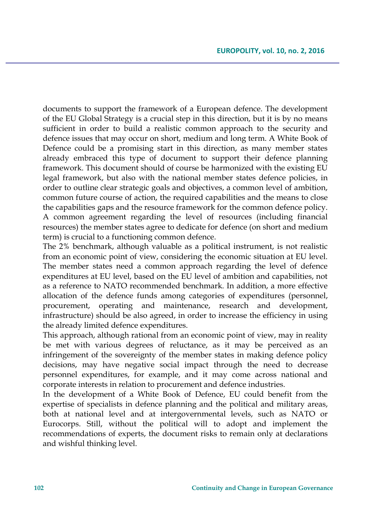documents to support the framework of a European defence. The development of the EU Global Strategy is a crucial step in this direction, but it is by no means sufficient in order to build a realistic common approach to the security and defence issues that may occur on short, medium and long term. A White Book of Defence could be a promising start in this direction, as many member states already embraced this type of document to support their defence planning framework. This document should of course be harmonized with the existing EU legal framework, but also with the national member states defence policies, in order to outline clear strategic goals and objectives, a common level of ambition, common future course of action, the required capabilities and the means to close the capabilities gaps and the resource framework for the common defence policy. A common agreement regarding the level of resources (including financial resources) the member states agree to dedicate for defence (on short and medium term) is crucial to a functioning common defence.

The 2% benchmark, although valuable as a political instrument, is not realistic from an economic point of view, considering the economic situation at EU level. The member states need a common approach regarding the level of defence expenditures at EU level, based on the EU level of ambition and capabilities, not as a reference to NATO recommended benchmark. In addition, a more effective allocation of the defence funds among categories of expenditures (personnel, procurement, operating and maintenance, research and development, infrastructure) should be also agreed, in order to increase the efficiency in using the already limited defence expenditures.

This approach, although rational from an economic point of view, may in reality be met with various degrees of reluctance, as it may be perceived as an infringement of the sovereignty of the member states in making defence policy decisions, may have negative social impact through the need to decrease personnel expenditures, for example, and it may come across national and corporate interests in relation to procurement and defence industries.

In the development of a White Book of Defence, EU could benefit from the expertise of specialists in defence planning and the political and military areas, both at national level and at intergovernmental levels, such as NATO or Eurocorps. Still, without the political will to adopt and implement the recommendations of experts, the document risks to remain only at declarations and wishful thinking level.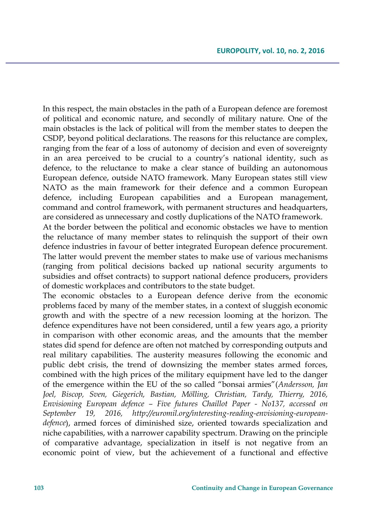In this respect, the main obstacles in the path of a European defence are foremost of political and economic nature, and secondly of military nature. One of the main obstacles is the lack of political will from the member states to deepen the CSDP, beyond political declarations. The reasons for this reluctance are complex, ranging from the fear of a loss of autonomy of decision and even of sovereignty in an area perceived to be crucial to a country's national identity, such as defence, to the reluctance to make a clear stance of building an autonomous European defence, outside NATO framework. Many European states still view NATO as the main framework for their defence and a common European defence, including European capabilities and a European management, command and control framework, with permanent structures and headquarters, are considered as unnecessary and costly duplications of the NATO framework.

At the border between the political and economic obstacles we have to mention the reluctance of many member states to relinquish the support of their own defence industries in favour of better integrated European defence procurement. The latter would prevent the member states to make use of various mechanisms (ranging from political decisions backed up national security arguments to subsidies and offset contracts) to support national defence producers, providers of domestic workplaces and contributors to the state budget.

The economic obstacles to a European defence derive from the economic problems faced by many of the member states, in a context of sluggish economic growth and with the spectre of a new recession looming at the horizon. The defence expenditures have not been considered, until a few years ago, a priority in comparison with other economic areas, and the amounts that the member states did spend for defence are often not matched by corresponding outputs and real military capabilities. The austerity measures following the economic and public debt crisis, the trend of downsizing the member states armed forces, combined with the high prices of the military equipment have led to the danger of the emergence within the EU of the so called "bonsai armies"(*Andersson, Jan Joel, Biscop, Sven, Giegerich, Bastian, Mölling, Christian, Tardy, Thierry, 2016, Envisioning European defence – Five futures Chaillot Paper - No137, accessed on September 19, 2016, http://euromil.org/interesting-reading-envisioning-europeandefence*), armed forces of diminished size, oriented towards specialization and niche capabilities, with a narrower capability spectrum. Drawing on the principle of comparative advantage, specialization in itself is not negative from an economic point of view, but the achievement of a functional and effective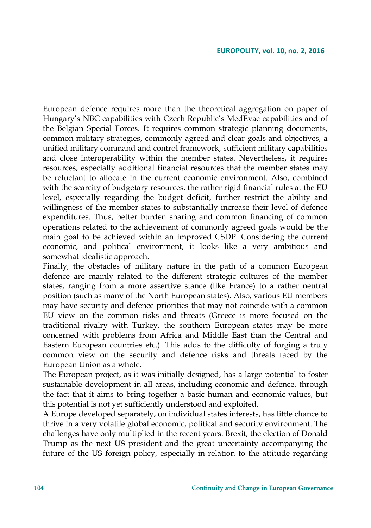European defence requires more than the theoretical aggregation on paper of Hungary's NBC capabilities with Czech Republic's MedEvac capabilities and of the Belgian Special Forces. It requires common strategic planning documents, common military strategies, commonly agreed and clear goals and objectives, a unified military command and control framework, sufficient military capabilities and close interoperability within the member states. Nevertheless, it requires resources, especially additional financial resources that the member states may be reluctant to allocate in the current economic environment. Also, combined with the scarcity of budgetary resources, the rather rigid financial rules at the EU level, especially regarding the budget deficit, further restrict the ability and willingness of the member states to substantially increase their level of defence expenditures. Thus, better burden sharing and common financing of common operations related to the achievement of commonly agreed goals would be the main goal to be achieved within an improved CSDP. Considering the current economic, and political environment, it looks like a very ambitious and somewhat idealistic approach.

Finally, the obstacles of military nature in the path of a common European defence are mainly related to the different strategic cultures of the member states, ranging from a more assertive stance (like France) to a rather neutral position (such as many of the North European states). Also, various EU members may have security and defence priorities that may not coincide with a common EU view on the common risks and threats (Greece is more focused on the traditional rivalry with Turkey, the southern European states may be more concerned with problems from Africa and Middle East than the Central and Eastern European countries etc.). This adds to the difficulty of forging a truly common view on the security and defence risks and threats faced by the European Union as a whole.

The European project, as it was initially designed, has a large potential to foster sustainable development in all areas, including economic and defence, through the fact that it aims to bring together a basic human and economic values, but this potential is not yet sufficiently understood and exploited.

A Europe developed separately, on individual states interests, has little chance to thrive in a very volatile global economic, political and security environment. The challenges have only multiplied in the recent years: Brexit, the election of Donald Trump as the next US president and the great uncertainty accompanying the future of the US foreign policy, especially in relation to the attitude regarding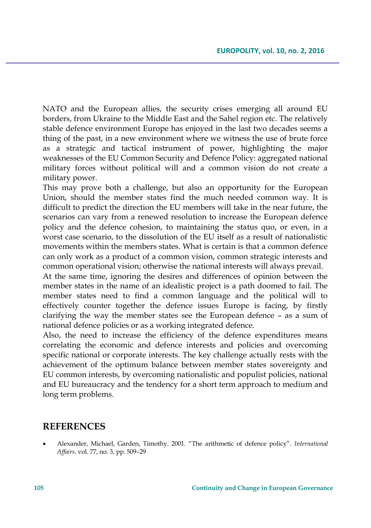NATO and the European allies, the security crises emerging all around EU borders, from Ukraine to the Middle East and the Sahel region etc. The relatively stable defence environment Europe has enjoyed in the last two decades seems a thing of the past, in a new environment where we witness the use of brute force as a strategic and tactical instrument of power, highlighting the major weaknesses of the EU Common Security and Defence Policy: aggregated national military forces without political will and a common vision do not create a military power.

This may prove both a challenge, but also an opportunity for the European Union, should the member states find the much needed common way. It is difficult to predict the direction the EU members will take in the near future, the scenarios can vary from a renewed resolution to increase the European defence policy and the defence cohesion, to maintaining the status quo, or even, in a worst case scenario, to the dissolution of the EU itself as a result of nationalistic movements within the members states. What is certain is that a common defence can only work as a product of a common vision, common strategic interests and common operational vision; otherwise the national interests will always prevail.

At the same time, ignoring the desires and differences of opinion between the member states in the name of an idealistic project is a path doomed to fail. The member states need to find a common language and the political will to effectively counter together the defence issues Europe is facing, by firstly clarifying the way the member states see the European defence – as a sum of national defence policies or as a working integrated defence.

Also, the need to increase the efficiency of the defence expenditures means correlating the economic and defence interests and policies and overcoming specific national or corporate interests. The key challenge actually rests with the achievement of the optimum balance between member states sovereignty and EU common interests, by overcoming nationalistic and populist policies, national and EU bureaucracy and the tendency for a short term approach to medium and long term problems.

## **REFERENCES**

 Alexander, Michael, Garden, Timothy. 2001. "The arithmetic of defence policy". *International Affairs*. vol. 77, no. 3, pp. 509–29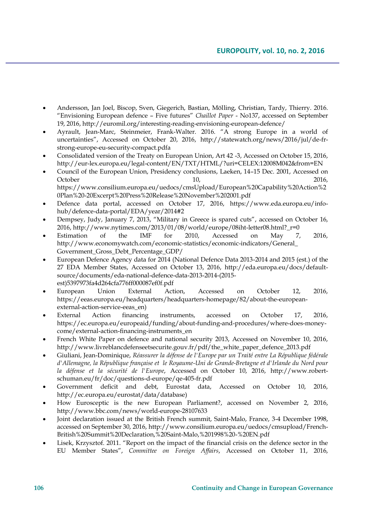- Andersson, Jan Joel, Biscop, Sven, Giegerich, Bastian, Mölling, Christian, Tardy, Thierry. 2016. "Envisioning European defence – Five futures" *Chaillot Paper* - No137, accessed on September 19, 2016, http://euromil.org/interesting-reading-envisioning-european-defence/
- Ayrault, Jean-Marc, Steinmeier, Frank-Walter. 2016. "A strong Europe in a world of uncertainties", Accessed on October 20, 2016, http://statewatch.org/news/2016/jul/de-frstrong-europe-eu-security-compact.pdfa
- Consolidated version of the Treaty on European Union, Art 42 -3, Accessed on October 15, 2016, http://eur-lex.europa.eu/legal-content/EN/TXT/HTML/?uri=CELEX:12008M042&from=EN
- Council of the European Union, Presidency conclusions, Laeken, 14–15 Dec. 2001, Accessed on October 2016, 2016, 2016, 2016, 2017, 2017, 2017, 2017, 2017, 2017, 2017, 2017, 2017, 2017, 2017, 2017, 2017, 2017, 2017, 2017, 2017, 2017, 2017, 2017, 2017, 2017, 2017, 2017, 2017, 2017, 2017, 2017, 2017, 2017, 2017, 2017 https://www.consilium.europa.eu/uedocs/cmsUpload/European%20Capability%20Action%2 0Plan%20-20Excerpt%20Press%20Release%20November%202001.pdf
- Defence data portal, accessed on October 17, 2016, https://www.eda.europa.eu/infohub/defence-data-portal/EDA/year/2014#2
- Dempsey, Judy, January 7, 2013, "Military in Greece is spared cuts", accessed on October 16, 2016, http://www.nytimes.com/2013/01/08/world/europe/08iht-letter08.html?\_r=0
- Estimation of the IMF for 2010, Accessed on May 7, 2016, http://www.economywatch.com/economic-statistics/economic-indicators/General\_ Government\_Gross\_Debt\_Percentage\_GDP/
- European Defence Agency data for 2014 (National Defence Data 2013-2014 and 2015 (est.) of the 27 EDA Member States, Accessed on October 13, 2016, http://eda.europa.eu/docs/defaultsource/documents/eda-national-defence-data-2013-2014-(2015 est)5397973fa4d264cfa776ff000087ef0f.pdf
- European Union External Action, Accessed on October 12, 2016, https://eeas.europa.eu/headquarters/headquarters-homepage/82/about-the-europeanexternal-action-service-eeas\_en)
- External Action financing instruments, accessed on October 17, 2016, https://ec.europa.eu/europeaid/funding/about-funding-and-procedures/where-does-moneycome/external-action-financing-instruments\_en
- French White Paper on defence and national security 2013, Accessed on November 10, 2016, http://www.livreblancdefenseetsecurite.gouv.fr/pdf/the\_white\_paper\_defence\_2013.pdf
- Giuliani, Jean-Dominique, *Réassurer la défense de l'Europe par un Traité entre La République fédérale d'Allemagne, la République française et le Royaume-Uni de Grande-Bretagne et d'Irlande du Nord pour la défense et la sécurité de l'Europe*, Accessed on October 10, 2016, http://www.robertschuman.eu/fr/doc/questions-d-europe/qe-405-fr.pdf
- Government deficit and debt, Eurostat data, Accessed on October 10, 2016, http://ec.europa.eu/eurostat/data/database)
- How Eurosceptic is the new European Parliament?, accessed on November 2, 2016, http://www.bbc.com/news/world-europe-28107633
- Joint declaration issued at the British French summit, Saint-Malo, France, 3-4 December 1998, accessed on September 30, 2016, http://www.consilium.europa.eu/uedocs/cmsupload/French-British%20Summit%20Declaration,%20Saint-Malo,%201998%20-%20EN.pdf
- Lisek, Krzysztof. 2011. "Report on the impact of the financial crisis on the defence sector in the EU Member States", *Committee on Foreign Affairs*, Accessed on October 11, 2016,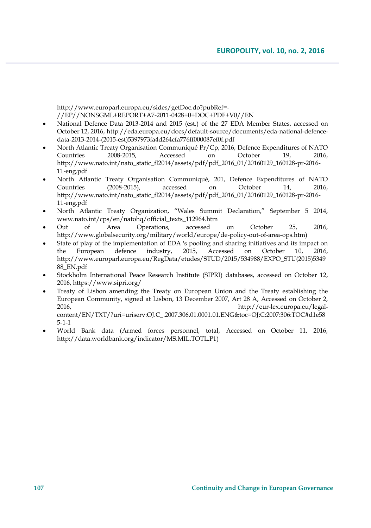http://www.europarl.europa.eu/sides/getDoc.do?pubRef=- //EP//NONSGML+REPORT+A7-2011-0428+0+DOC+PDF+V0//EN

- National Defence Data 2013-2014 and 2015 (est.) of the 27 EDA Member States, accessed on October 12, 2016, http://eda.europa.eu/docs/default-source/documents/eda-national-defencedata-2013-2014-(2015-est)5397973fa4d264cfa776ff000087ef0f.pdf
- North Atlantic Treaty Organisation Communiqué Pr/Cp, 2016, Defence Expenditures of NATO Countries 2008-2015, Accessed on October 19, 2016, http://www.nato.int/nato\_static\_fl2014/assets/pdf/pdf\_2016\_01/20160129\_160128-pr-2016- 11-eng.pdf
- North Atlantic Treaty Organisation Communiqué, 201, Defence Expenditures of NATO Countries (2008-2015), accessed on October 14, 2016, http://www.nato.int/nato\_static\_fl2014/assets/pdf/pdf\_2016\_01/20160129\_160128-pr-2016- 11-eng.pdf
- North Atlantic Treaty Organization, "Wales Summit Declaration," September 5 2014, www.nato.int/cps/en/natohq/official\_texts\_112964.htm
- Out of Area Operations, accessed on October 25, 2016, http://www.globalsecurity.org/military/world/europe/de-policy-out-of-area-ops.htm)
- State of play of the implementation of EDA 's pooling and sharing initiatives and its impact on the European defence industry, 2015, Accessed on October 10, 2016, the European defence industry, 2015, Accessed on October 10, 2016, http://www.europarl.europa.eu/RegData/etudes/STUD/2015/534988/EXPO\_STU(2015)5349 88\_EN.pdf
- Stockholm International Peace Research Institute (SIPRI) databases, accessed on October 12, 2016, https://www.sipri.org/
- Treaty of Lisbon amending the Treaty on European Union and the Treaty establishing the European Community, signed at Lisbon, 13 December 2007, Art 28 A, Accessed on October 2, 2016, http://eur-lex.europa.eu/legalcontent/EN/TXT/?uri=uriserv:OJ.C\_.2007.306.01.0001.01.ENG&toc=OJ:C:2007:306:TOC#d1e58 5-1-1
- World Bank data (Armed forces personnel, total, Accessed on October 11, 2016, http://data.worldbank.org/indicator/MS.MIL.TOTL.P1)